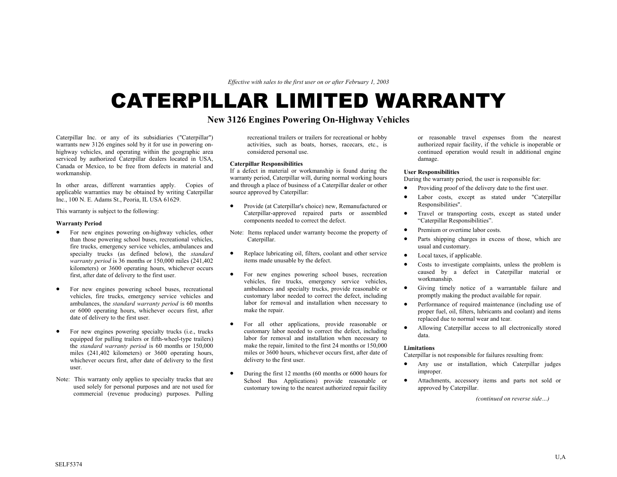*Effective with sales to the first user on or after February 1, 2003* 

# CATERPILLAR LIMITED WARRANTY

# **New 3126 Engines Powering On-Highway Vehicles**

Caterpillar Inc. or any of its subsidiaries ("Caterpillar") warrants new 3126 engines sold by it for use in powering onhighway vehicles, and operating within the geographic area serviced by authorized Caterpillar dealers located in USA, Canada or Mexico, to be free from defects in material and workmanship.

In other areas, different warranties apply. Copies of applicable warranties may be obtained by writing Caterpillar Inc., 100 N. E. Adams St., Peoria, IL USA 61629.

This warranty is subject to the following:

## **Warranty Period**

- For new engines powering on-highway vehicles, other than those powering school buses, recreational vehicles, fire trucks, emergency service vehicles, ambulances and specialty trucks (as defined below), the *standard warranty period* is 36 months or 150,000 miles (241,402 kilometers) or 3600 operating hours, whichever occurs first, after date of delivery to the first user.
- For new engines powering school buses, recreational vehicles, fire trucks, emergency service vehicles and ambulances, the *standard warranty period* is 60 months or 6000 operating hours, whichever occurs first, after date of delivery to the first user.
- For new engines powering specialty trucks (i.e., trucks equipped for pulling trailers or fifth-wheel-type trailers) the *standard warranty period* is 60 months or 150,000 miles (241,402 kilometers) or 3600 operating hours, whichever occurs first, after date of delivery to the first user.
- Note: This warranty only applies to specialty trucks that are used solely for personal purposes and are not used for commercial (revenue producing) purposes. Pulling

recreational trailers or trailers for recreational or hobby activities, such as boats, horses, racecars, etc., is considered personal use.

# **Caterpillar Responsibilities**

If a defect in material or workmanship is found during the warranty period, Caterpillar will, during normal working hours and through a place of business of a Caterpillar dealer or other source approved by Caterpillar:

- Provide (at Caterpillar's choice) new, Remanufactured or Caterpillar-approved repaired parts or assembled components needed to correct the defect.
- Note: Items replaced under warranty become the property of Caterpillar.
- Replace lubricating oil, filters, coolant and other service items made unusable by the defect.
- For new engines powering school buses, recreation vehicles, fire trucks, emergency service vehicles, ambulances and specialty trucks, provide reasonable or customary labor needed to correct the defect, including labor for removal and installation when necessary to make the repair.
- For all other applications, provide reasonable or customary labor needed to correct the defect, including labor for removal and installation when necessary to make the repair, limited to the first 24 months or 150,000 miles or 3600 hours, whichever occurs first, after date of delivery to the first user.
- During the first 12 months (60 months or 6000 hours for School Bus Applications) provide reasonable or customary towing to the nearest authorized repair facility

or reasonable travel expenses from the nearest authorized repair facility, if the vehicle is inoperable or continued operation would result in additional engine damage.

## **User Responsibilities**

During the warranty period*,* the user is responsible for:

- Providing proof of the delivery date to the first user.
- Labor costs, except as stated under "Caterpillar Responsibilities".
- Travel or transporting costs, except as stated under "Caterpillar Responsibilities".
- Premium or overtime labor costs.
- Parts shipping charges in excess of those, which are usual and customary.
- Local taxes, if applicable.
- Costs to investigate complaints, unless the problem is caused by a defect in Caterpillar material or workmanship.
- Giving timely notice of a warrantable failure and promptly making the product available for repair.
- Performance of required maintenance (including use of proper fuel, oil, filters, lubricants and coolant) and items replaced due to normal wear and tear.
- Allowing Caterpillar access to all electronically stored data.

## **Limitations**

Caterpillar is not responsible for failures resulting from:

- Any use or installation, which Caterpillar judges improper.
- Attachments, accessory items and parts not sold or approved by Caterpillar.

*(continued on reverse side…)*